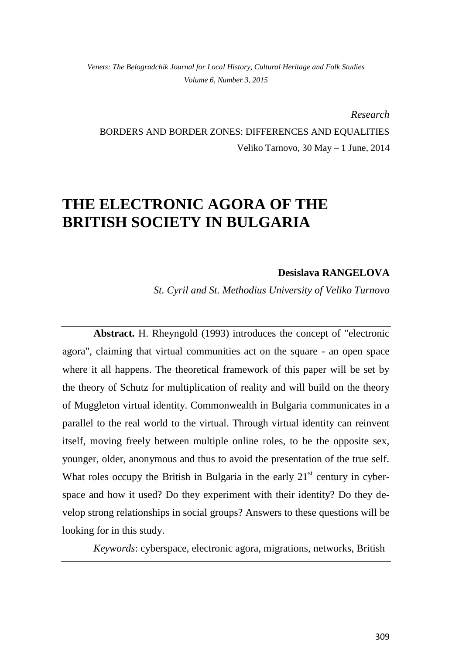*Research* BORDERS AND BORDER ZONES: DIFFERENCES AND EQUALITIES Veliko Tarnovo, 30 May – 1 June, 2014

## **THE ELECTRONIC AGORA OF THE BRITISH SOCIETY IN BULGARIA**

## **Desislava RANGELOVA**

*St. Cyril and St. Methodius University of Veliko Turnovo*

**Abstract.** H. Rheyngold (1993) introduces the concept of "electronic agora", claiming that virtual communities act on the square - an open space where it all happens. The theoretical framework of this paper will be set by the theory of Schutz for multiplication of reality and will build on the theory of Muggleton virtual identity. Commonwealth in Bulgaria communicates in a parallel to the real world to the virtual. Through virtual identity can reinvent itself, moving freely between multiple online roles, to be the opposite sex, younger, older, anonymous and thus to avoid the presentation of the true self. What roles occupy the British in Bulgaria in the early  $21<sup>st</sup>$  century in cyberspace and how it used? Do they experiment with their identity? Do they develop strong relationships in social groups? Answers to these questions will be looking for in this study.

*Keywords*: cyberspace, electronic agora, migrations, networks, British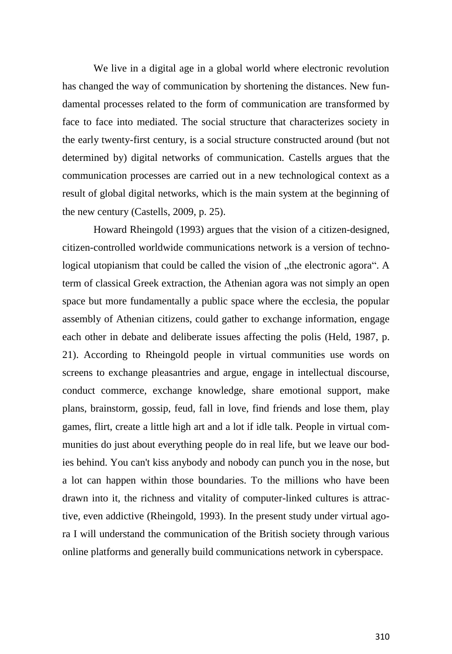We live in a digital age in a global world where electronic revolution has changed the way of communication by shortening the distances. New fundamental processes related to the form of communication are transformed by face to face into mediated. The social structure that characterizes society in the early twenty-first century, is a social structure constructed around (but not determined by) digital networks of communication. Castells argues that the communication processes are carried out in a new technological context as a result of global digital networks, which is the main system at the beginning of the new century (Castells, 2009, p. 25).

Howard Rheingold (1993) argues that the vision of a citizen-designed, citizen-controlled worldwide communications network is a version of technological utopianism that could be called the vision of "the electronic agora". A term of classical Greek extraction, the Athenian agora was not simply an open space but more fundamentally a public space where the ecclesia, the popular assembly of Athenian citizens, could gather to exchange information, engage each other in debate and deliberate issues affecting the polis (Held, 1987, p. 21). According to Rheingold people in virtual communities use words on screens to exchange pleasantries and argue, engage in intellectual discourse, conduct commerce, exchange knowledge, share emotional support, make plans, brainstorm, gossip, feud, fall in love, find friends and lose them, play games, flirt, create a little high art and a lot if idle talk. People in virtual communities do just about everything people do in real life, but we leave our bodies behind. You can't kiss anybody and nobody can punch you in the nose, but a lot can happen within those boundaries. To the millions who have been drawn into it, the richness and vitality of computer-linked cultures is attractive, even addictive (Rheingold, 1993). In the present study under virtual agora I will understand the communication of the British society through various online platforms and generally build communications network in cyberspace.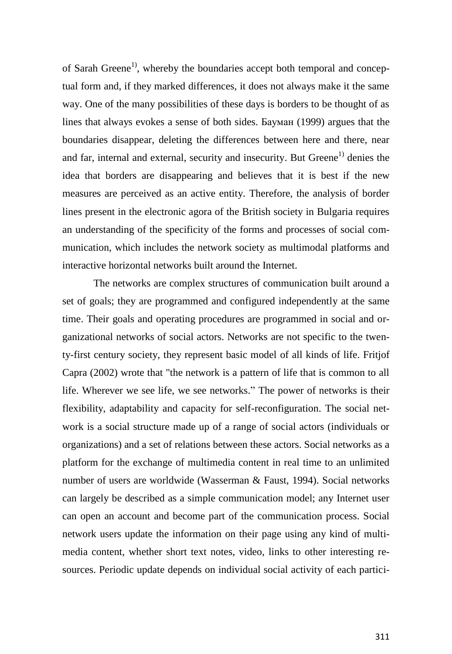of Sarah Greene<sup>1)</sup>, whereby the boundaries accept both temporal and conceptual form and, if they marked differences, it does not always make it the same way. One of the many possibilities of these days is borders to be thought of as lines that always evokes a sense of both sides. Бауман (1999) argues that the boundaries disappear, deleting the differences between here and there, near and far, internal and external, security and insecurity. But Greene<sup>1)</sup> denies the idea that borders are disappearing and believes that it is best if the new measures are perceived as an active entity. Therefore, the analysis of border lines present in the electronic agora of the British society in Bulgaria requires an understanding of the specificity of the forms and processes of social communication, which includes the network society as multimodal platforms and interactive horizontal networks built around the Internet.

The networks are complex structures of communication built around a set of goals; they are programmed and configured independently at the same time. Their goals and operating procedures are programmed in social and organizational networks of social actors. Networks are not specific to the twenty-first century society, they represent basic model of all kinds of life. Fritjof Capra (2002) wrote that "the network is a pattern of life that is common to all life. Wherever we see life, we see networks." The power of networks is their flexibility, adaptability and capacity for self-reconfiguration. The social network is a social structure made up of a range of social actors (individuals or organizations) and a set of relations between these actors. Social networks as a platform for the exchange of multimedia content in real time to an unlimited number of users are worldwide (Wasserman & Faust, 1994). Social networks can largely be described as a simple communication model; any Internet user can open an account and become part of the communication process. Social network users update the information on their page using any kind of multimedia content, whether short text notes, video, links to other interesting resources. Periodic update depends on individual social activity of each partici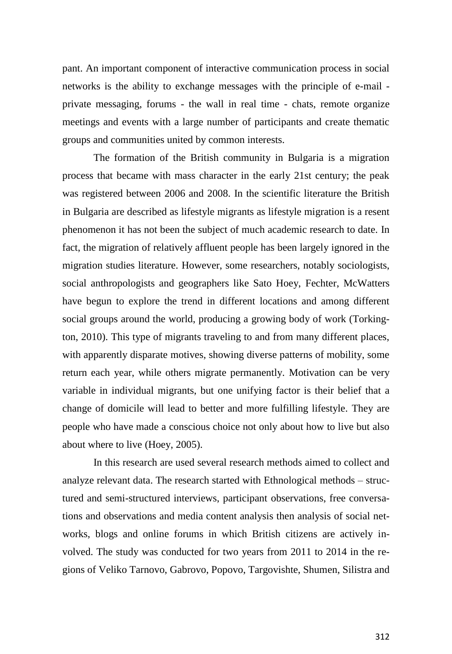pant. An important component of interactive communication process in social networks is the ability to exchange messages with the principle of e-mail private messaging, forums - the wall in real time - chats, remote organize meetings and events with a large number of participants and create thematic groups and communities united by common interests.

The formation of the British community in Bulgaria is a migration process that became with mass character in the early 21st century; the peak was registered between 2006 and 2008. In the scientific literature the British in Bulgaria are described as lifestyle migrants as lifestyle migration is a resent phenomenon it has not been the subject of much academic research to date. In fact, the migration of relatively affluent people has been largely ignored in the migration studies literature. However, some researchers, notably sociologists, social anthropologists and geographers like Sato Hoey, Fechter, McWatters have begun to explore the trend in different locations and among different social groups around the world, producing a growing body of work (Torkington, 2010). This type of migrants traveling to and from many different places, with apparently disparate motives, showing diverse patterns of mobility, some return each year, while others migrate permanently. Motivation can be very variable in individual migrants, but one unifying factor is their belief that a change of domicile will lead to better and more fulfilling lifestyle. They are people who have made a conscious choice not only about how to live but also about where to live (Hoey, 2005).

In this research are used several research methods aimed to collect and analyze relevant data. The research started with Ethnological methods – structured and semi-structured interviews, participant observations, free conversations and observations and media content analysis then analysis of social networks, blogs and online forums in which British citizens are actively involved. The study was conducted for two years from 2011 to 2014 in the regions of Veliko Tarnovo, Gabrovo, Popovo, Targovishte, Shumen, Silistra and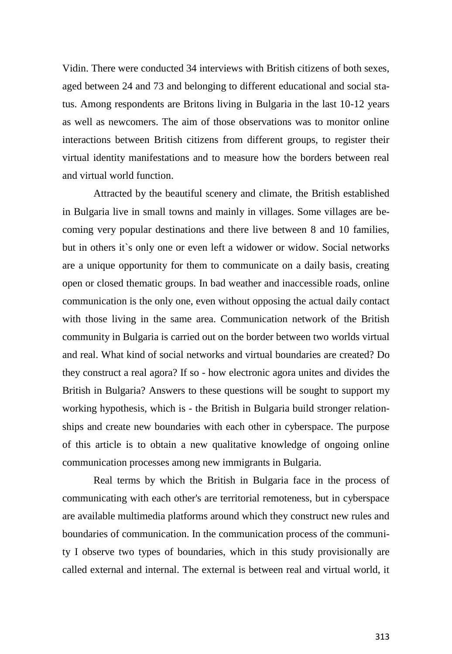Vidin. There were conducted 34 interviews with British citizens of both sexes, aged between 24 and 73 and belonging to different educational and social status. Among respondents are Britons living in Bulgaria in the last 10-12 years as well as newcomers. The aim of those observations was to monitor online interactions between British citizens from different groups, to register their virtual identity manifestations and to measure how the borders between real and virtual world function.

Attracted by the beautiful scenery and climate, the British established in Bulgaria live in small towns and mainly in villages. Some villages are becoming very popular destinations and there live between 8 and 10 families, but in others it`s only one or even left a widower or widow. Social networks are a unique opportunity for them to communicate on a daily basis, creating open or closed thematic groups. In bad weather and inaccessible roads, online communication is the only one, even without opposing the actual daily contact with those living in the same area. Communication network of the British community in Bulgaria is carried out on the border between two worlds virtual and real. What kind of social networks and virtual boundaries are created? Do they construct a real agora? If so - how electronic agora unites and divides the British in Bulgaria? Answers to these questions will be sought to support my working hypothesis, which is - the British in Bulgaria build stronger relationships and create new boundaries with each other in cyberspace. The purpose of this article is to obtain a new qualitative knowledge of ongoing online communication processes among new immigrants in Bulgaria.

Real terms by which the British in Bulgaria face in the process of communicating with each other's are territorial remoteness, but in cyberspace are available multimedia platforms around which they construct new rules and boundaries of communication. In the communication process of the community I observe two types of boundaries, which in this study provisionally are called external and internal. The external is between real and virtual world, it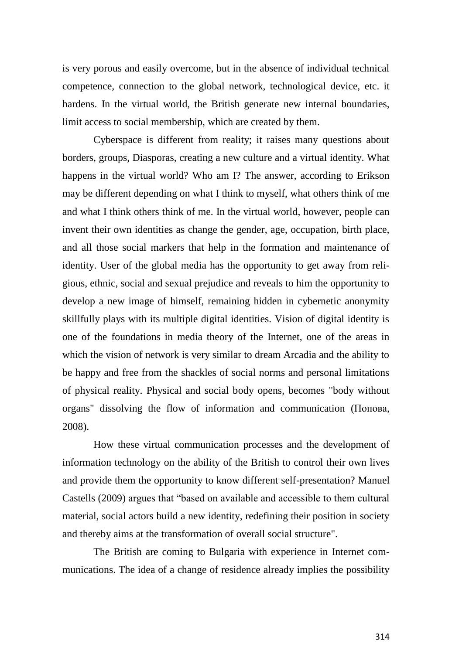is very porous and easily overcome, but in the absence of individual technical competence, connection to the global network, technological device, etc. it hardens. In the virtual world, the British generate new internal boundaries, limit access to social membership, which are created by them.

Cyberspace is different from reality; it raises many questions about borders, groups, Diasporas, creating a new culture and a virtual identity. What happens in the virtual world? Who am I? The answer, according to Erikson may be different depending on what I think to myself, what others think of me and what I think others think of me. In the virtual world, however, people can invent their own identities as change the gender, age, occupation, birth place, and all those social markers that help in the formation and maintenance of identity. User of the global media has the opportunity to get away from religious, ethnic, social and sexual prejudice and reveals to him the opportunity to develop a new image of himself, remaining hidden in cybernetic anonymity skillfully plays with its multiple digital identities. Vision of digital identity is one of the foundations in media theory of the Internet, one of the areas in which the vision of network is very similar to dream Arcadia and the ability to be happy and free from the shackles of social norms and personal limitations of physical reality. Physical and social body opens, becomes "body without organs" dissolving the flow of information and communication (Попова, 2008).

How these virtual communication processes and the development of information technology on the ability of the British to control their own lives and provide them the opportunity to know different self-presentation? Manuel Castells (2009) argues that "based on available and accessible to them cultural material, social actors build a new identity, redefining their position in society and thereby aims at the transformation of overall social structure".

The British are coming to Bulgaria with experience in Internet communications. The idea of a change of residence already implies the possibility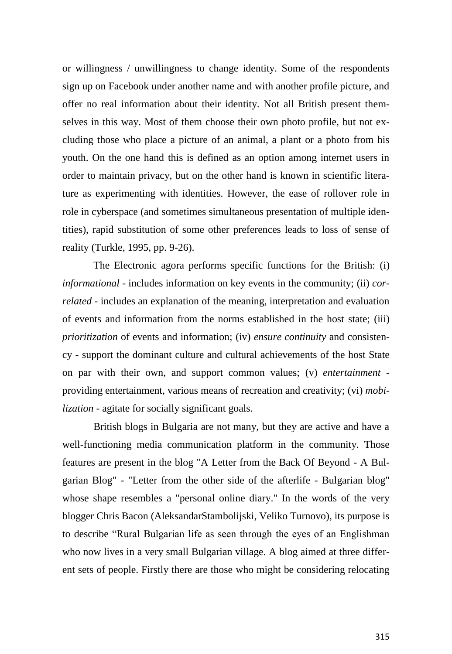or willingness / unwillingness to change identity. Some of the respondents sign up on Facebook under another name and with another profile picture, and offer no real information about their identity. Not all British present themselves in this way. Most of them choose their own photo profile, but not excluding those who place a picture of an animal, a plant or a photo from his youth. On the one hand this is defined as an option among internet users in order to maintain privacy, but on the other hand is known in scientific literature as experimenting with identities. However, the ease of rollover role in role in cyberspace (and sometimes simultaneous presentation of multiple identities), rapid substitution of some other preferences leads to loss of sense of reality (Turkle, 1995, pp. 9-26).

The Electronic agora performs specific functions for the British: (i) *informational* - includes information on key events in the community; (ii) *correlated* - includes an explanation of the meaning, interpretation and evaluation of events and information from the norms established in the host state; (iii) *prioritization* of events and information; (iv) *ensure continuity* and consistency - support the dominant culture and cultural achievements of the host State on par with their own, and support common values; (v) *entertainment* providing entertainment, various means of recreation and creativity; (vi) *mobilization* - agitate for socially significant goals.

British blogs in Bulgaria are not many, but they are active and have a well-functioning media communication platform in the community. Those features are present in the blog "A Letter from the Back Of Beyond - A Bulgarian Blog" - "Letter from the other side of the afterlife - Bulgarian blog" whose shape resembles a "personal online diary." In the words of the very blogger Chris Bacon (AleksandarStambolijski, Veliko Turnovo), its purpose is to describe "Rural Bulgarian life as seen through the eyes of an Englishman who now lives in a very small Bulgarian village. A blog aimed at three different sets of people. Firstly there are those who might be considering relocating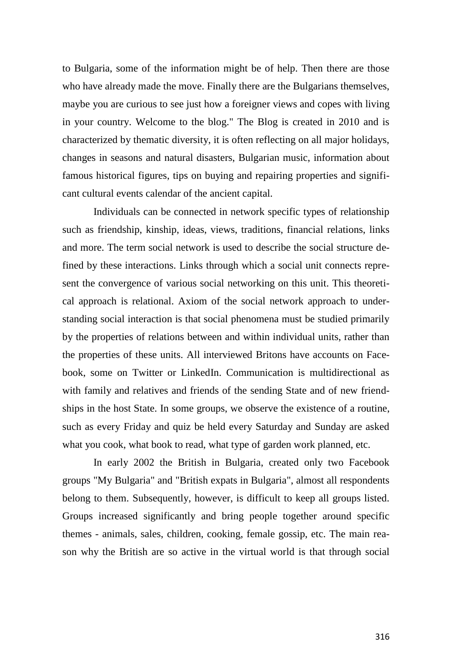to Bulgaria, some of the information might be of help. Then there are those who have already made the move. Finally there are the Bulgarians themselves, maybe you are curious to see just how a foreigner views and copes with living in your country. Welcome to the blog." The Blog is created in 2010 and is characterized by thematic diversity, it is often reflecting on all major holidays, changes in seasons and natural disasters, Bulgarian music, information about famous historical figures, tips on buying and repairing properties and significant cultural events calendar of the ancient capital.

Individuals can be connected in network specific types of relationship such as friendship, kinship, ideas, views, traditions, financial relations, links and more. The term social network is used to describe the social structure defined by these interactions. Links through which a social unit connects represent the convergence of various social networking on this unit. This theoretical approach is relational. Axiom of the social network approach to understanding social interaction is that social phenomena must be studied primarily by the properties of relations between and within individual units, rather than the properties of these units. All interviewed Britons have accounts on Facebook, some on Twitter or LinkedIn. Communication is multidirectional as with family and relatives and friends of the sending State and of new friendships in the host State. In some groups, we observe the existence of a routine, such as every Friday and quiz be held every Saturday and Sunday are asked what you cook, what book to read, what type of garden work planned, etc.

In early 2002 the British in Bulgaria, created only two Facebook groups "My Bulgaria" and "British expats in Bulgaria", almost all respondents belong to them. Subsequently, however, is difficult to keep all groups listed. Groups increased significantly and bring people together around specific themes - animals, sales, children, cooking, female gossip, etc. The main reason why the British are so active in the virtual world is that through social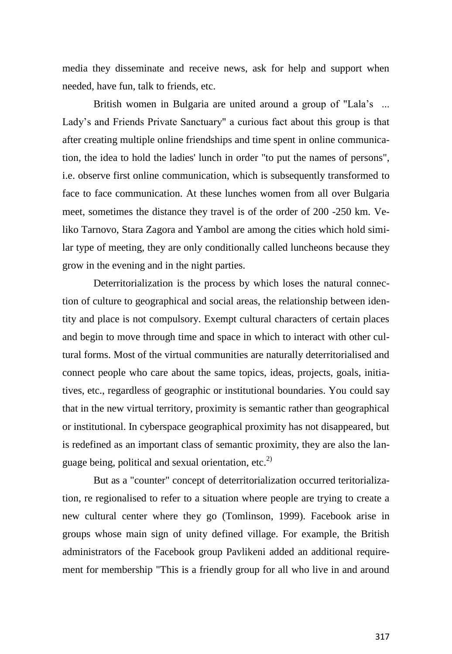media they disseminate and receive news, ask for help and support when needed, have fun, talk to friends, etc.

British women in Bulgaria are united around a group of "Lala's ... Lady's and Friends Private Sanctuary" a curious fact about this group is that after creating multiple online friendships and time spent in online communication, the idea to hold the ladies' lunch in order "to put the names of persons", i.e. observe first online communication, which is subsequently transformed to face to face communication. At these lunches women from all over Bulgaria meet, sometimes the distance they travel is of the order of 200 -250 km. Veliko Tarnovo, Stara Zagora and Yambol are among the cities which hold similar type of meeting, they are only conditionally called luncheons because they grow in the evening and in the night parties.

Deterritorialization is the process by which loses the natural connection of culture to geographical and social areas, the relationship between identity and place is not compulsory. Exempt cultural characters of certain places and begin to move through time and space in which to interact with other cultural forms. Most of the virtual communities are naturally deterritorialised and connect people who care about the same topics, ideas, projects, goals, initiatives, etc., regardless of geographic or institutional boundaries. You could say that in the new virtual territory, proximity is semantic rather than geographical or institutional. In cyberspace geographical proximity has not disappeared, but is redefined as an important class of semantic proximity, they are also the language being, political and sexual orientation, etc.<sup>2)</sup>

But as a "counter" concept of deterritorialization occurred teritorialization, re regionalised to refer to a situation where people are trying to create a new cultural center where they go (Tomlinson, 1999). Facebook arise in groups whose main sign of unity defined village. For example, the British administrators of the Facebook group Pavlikeni added an additional requirement for membership "This is a friendly group for all who live in and around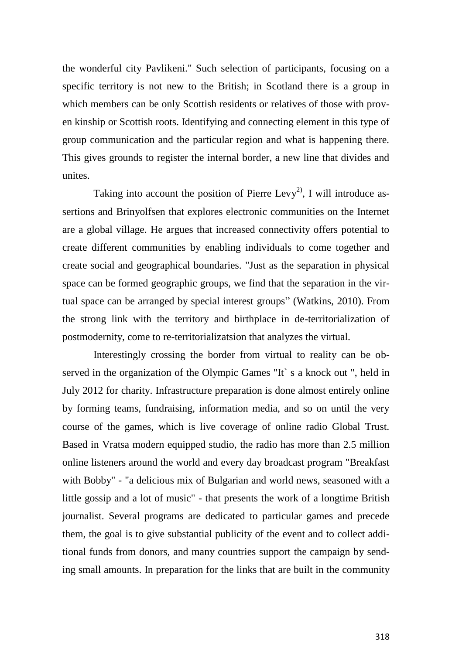the wonderful city Pavlikeni." Such selection of participants, focusing on a specific territory is not new to the British; in Scotland there is a group in which members can be only Scottish residents or relatives of those with proven kinship or Scottish roots. Identifying and connecting element in this type of group communication and the particular region and what is happening there. This gives grounds to register the internal border, a new line that divides and unites.

Taking into account the position of Pierre Levy<sup>2)</sup>, I will introduce assertions and Brinyolfsen that explores electronic communities on the Internet are a global village. He argues that increased connectivity offers potential to create different communities by enabling individuals to come together and create social and geographical boundaries. "Just as the separation in physical space can be formed geographic groups, we find that the separation in the virtual space can be arranged by special interest groups" (Watkins, 2010). From the strong link with the territory and birthplace in de-territorialization of postmodernity, come to re-territorializatsion that analyzes the virtual.

Interestingly crossing the border from virtual to reality can be observed in the organization of the Olympic Games "It` s a knock out ", held in July 2012 for charity. Infrastructure preparation is done almost entirely online by forming teams, fundraising, information media, and so on until the very course of the games, which is live coverage of online radio Global Trust. Based in Vratsa modern equipped studio, the radio has more than 2.5 million online listeners around the world and every day broadcast program "Breakfast with Bobby" - "a delicious mix of Bulgarian and world news, seasoned with a little gossip and a lot of music" - that presents the work of a longtime British journalist. Several programs are dedicated to particular games and precede them, the goal is to give substantial publicity of the event and to collect additional funds from donors, and many countries support the campaign by sending small amounts. In preparation for the links that are built in the community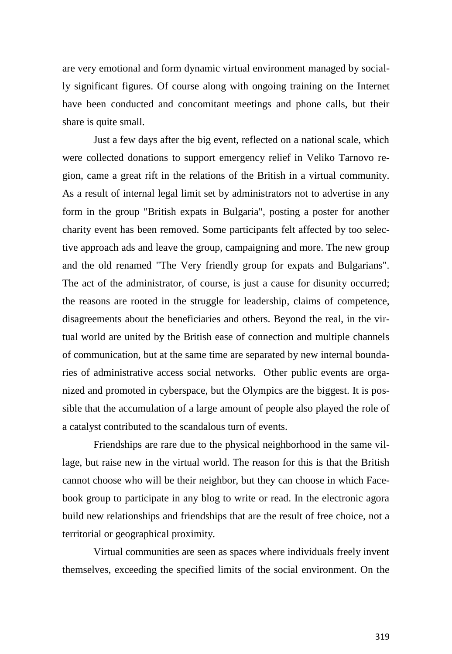are very emotional and form dynamic virtual environment managed by socially significant figures. Of course along with ongoing training on the Internet have been conducted and concomitant meetings and phone calls, but their share is quite small.

Just a few days after the big event, reflected on a national scale, which were collected donations to support emergency relief in Veliko Tarnovo region, came a great rift in the relations of the British in a virtual community. As a result of internal legal limit set by administrators not to advertise in any form in the group "British expats in Bulgaria", posting a poster for another charity event has been removed. Some participants felt affected by too selective approach ads and leave the group, campaigning and more. The new group and the old renamed "The Very friendly group for expats and Bulgarians". The act of the administrator, of course, is just a cause for disunity occurred; the reasons are rooted in the struggle for leadership, claims of competence, disagreements about the beneficiaries and others. Beyond the real, in the virtual world are united by the British ease of connection and multiple channels of communication, but at the same time are separated by new internal boundaries of administrative access social networks. Other public events are organized and promoted in cyberspace, but the Olympics are the biggest. It is possible that the accumulation of a large amount of people also played the role of a catalyst contributed to the scandalous turn of events.

Friendships are rare due to the physical neighborhood in the same village, but raise new in the virtual world. The reason for this is that the British cannot choose who will be their neighbor, but they can choose in which Facebook group to participate in any blog to write or read. In the electronic agora build new relationships and friendships that are the result of free choice, not a territorial or geographical proximity.

Virtual communities are seen as spaces where individuals freely invent themselves, exceeding the specified limits of the social environment. On the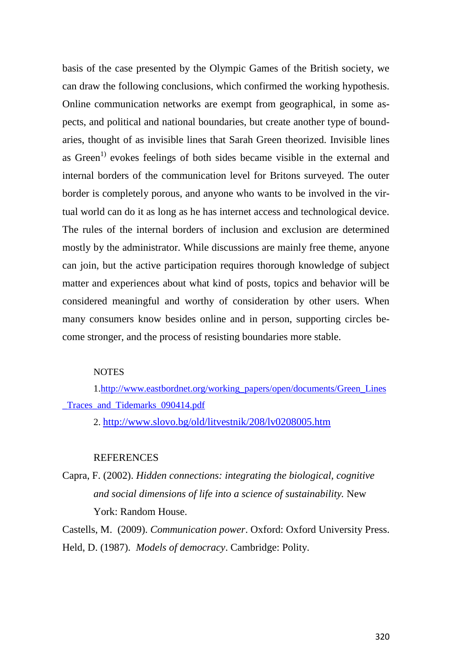basis of the case presented by the Olympic Games of the British society, we can draw the following conclusions, which confirmed the working hypothesis. Online communication networks are exempt from geographical, in some aspects, and political and national boundaries, but create another type of boundaries, thought of as invisible lines that Sarah Green theorized. Invisible lines as Green<sup>1)</sup> evokes feelings of both sides became visible in the external and internal borders of the communication level for Britons surveyed. The outer border is completely porous, and anyone who wants to be involved in the virtual world can do it as long as he has internet access and technological device. The rules of the internal borders of inclusion and exclusion are determined mostly by the administrator. While discussions are mainly free theme, anyone can join, but the active participation requires thorough knowledge of subject matter and experiences about what kind of posts, topics and behavior will be considered meaningful and worthy of consideration by other users. When many consumers know besides online and in person, supporting circles become stronger, and the process of resisting boundaries more stable.

## **NOTES**

1[.http://www.eastbordnet.org/working\\_papers/open/documents/Green\\_Lines](http://www.eastbordnet.org/working_papers/open/documents/Green_Lines_Traces_and_Tidemarks_090414.pdf) Traces and Tidemarks 090414.pdf

2. <http://www.slovo.bg/old/litvestnik/208/lv0208005.htm>

## REFERENCES

Capra, F. (2002). *Hidden connections: integrating the biological, cognitive and social dimensions of life into a science of sustainability.* New York: Random House.

Castells, M. (2009). *Communication power*. Oxford: Oxford University Press. Held, D. (1987). *Models of democracy*. Cambridge: Polity.